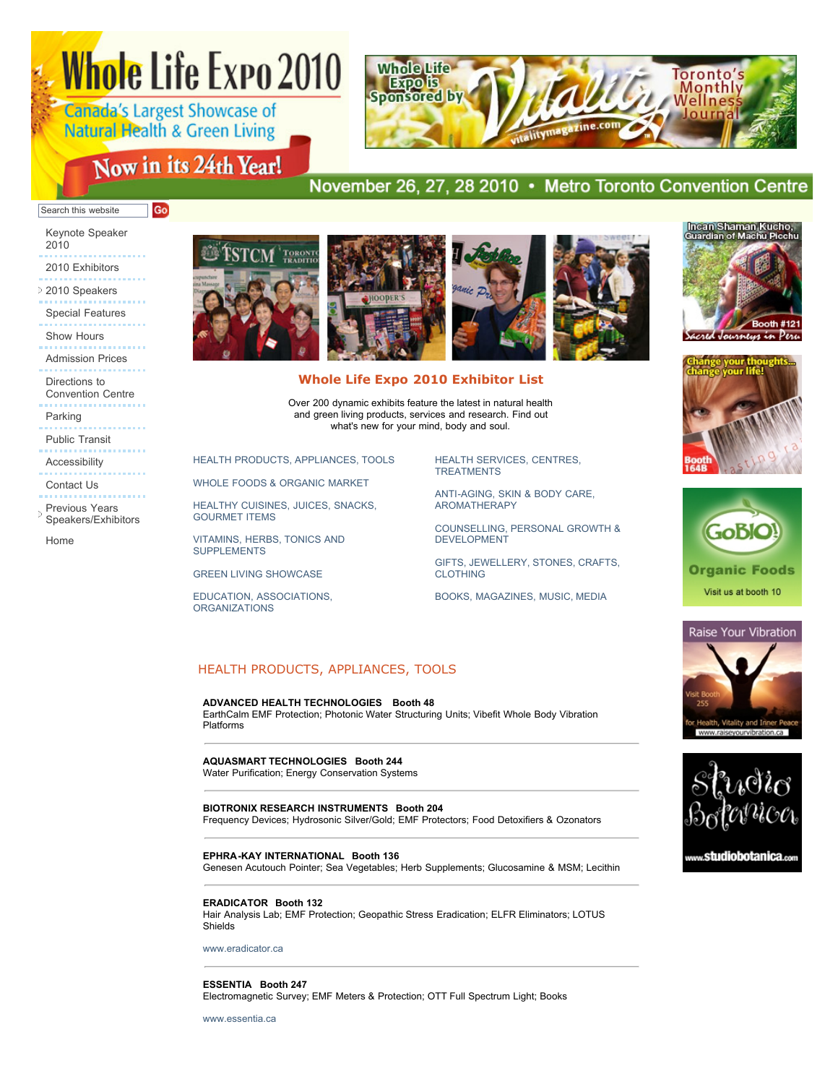# **Whole Life Expo 2010**

Canada's Largest Showcase of **Natural Health & Green Living** 

Go

# Now in its 24th Year!



# November 26, 27, 28 2010 • Metro Toronto Convention Centre

### Search this website

[Keynote Speaker](http://www.wholelifecanada.com/keynote.php) 2010

- [2010 Exhibitors](http://www.wholelifecanada.com/exhibitors.php)
- [2010 Speakers](JavaScript:void(0);)
- [Special Features](http://www.wholelifecanada.com/features.php)
- [Show Hours](http://www.wholelifecanada.com/hours.php)
- [Admission Prices](http://www.wholelifecanada.com/hours.php#prices)
- Directions to [Convention Centre](http://www.wholelifecanada.com/hours.php#directions)

[Parking](http://www.wholelifecanada.com/hours.php#parking)

- [Public Transit](http://www.wholelifecanada.com/hours.php#publicTransit)
- [Accessibility](http://www.wholelifecanada.com/hours.php#accessibility)

[Contact Us](http://www.wholelifecanada.com/contact.php)

- 
- Previous Years [Speakers/Exhibitors](javascript:void(0);)

[Home](http://www.wholelifecanada.com/index.php)



# **Whole Life Expo 2010 Exhibitor List**

Over 200 dynamic exhibits feature the latest in natural health and green living products, services and research. Find out what's new for your mind, body and soul.

[HEALTH PRODUCTS, APPLIANCES, TOOLS](http://www.wholelifecanada.com/exhibitors.php#11)

[WHOLE FOODS & ORGANIC MARKET](http://www.wholelifecanada.com/exhibitors.php#12)

[HEALTHY CUISINES, JUICES, SNACKS,](http://www.wholelifecanada.com/exhibitors.php#13) GOURMET ITEMS

[VITAMINS, HERBS, TONICS AND](http://www.wholelifecanada.com/exhibitors.php#14) SUPPLEMENTS

[GREEN LIVING SHOWCASE](http://www.wholelifecanada.com/exhibitors.php#15)

[EDUCATION, ASSOCIATIONS,](http://www.wholelifecanada.com/exhibitors.php#17) ORGANIZATIONS

[HEALTH SERVICES, CENTRES,](http://www.wholelifecanada.com/exhibitors.php#18) TREATMENTS

[ANTI-AGING, SKIN & BODY CARE,](http://www.wholelifecanada.com/exhibitors.php#19) AROMATHERAPY

[COUNSELLING, PERSONAL GROWTH &](http://www.wholelifecanada.com/exhibitors.php#20) DEVELOPMENT

[GIFTS, JEWELLERY, STONES, CRAFTS,](http://www.wholelifecanada.com/exhibitors.php#21) CLOTHING

[BOOKS, MAGAZINES, MUSIC, MEDIA](http://www.wholelifecanada.com/exhibitors.php#22)

# HEALTH PRODUCTS, APPLIANCES, TOOLS

### **ADVANCED HEALTH TECHNOLOGIES Booth 48**

EarthCalm EMF Protection; Photonic Water Structuring Units; Vibefit Whole Body Vibration Platforms

### **AQUASMART TECHNOLOGIES Booth 244**

Water Purification; Energy Conservation Systems

### **BIOTRONIX RESEARCH INSTRUMENTS Booth 204**

Frequency Devices; Hydrosonic Silver/Gold; EMF Protectors; Food Detoxifiers & Ozonators

### **EPHRA-KAY INTERNATIONAL Booth 136**

Genesen Acutouch Pointer; Sea Vegetables; Herb Supplements; Glucosamine & MSM; Lecithin

### **ERADICATOR Booth 132**

Hair Analysis Lab; EMF Protection; Geopathic Stress Eradication; ELFR Eliminators; LOTUS Shields

[www.eradicator.ca](http://www.eradicator.ca/)

### **ESSENTIA Booth 247** Electromagnetic Survey; EMF Meters & Protection; OTT Full Spectrum Light; Books

[www.essentia.ca](http://www.essentia.ca/)







**Organic Foods** Visit us at booth 10



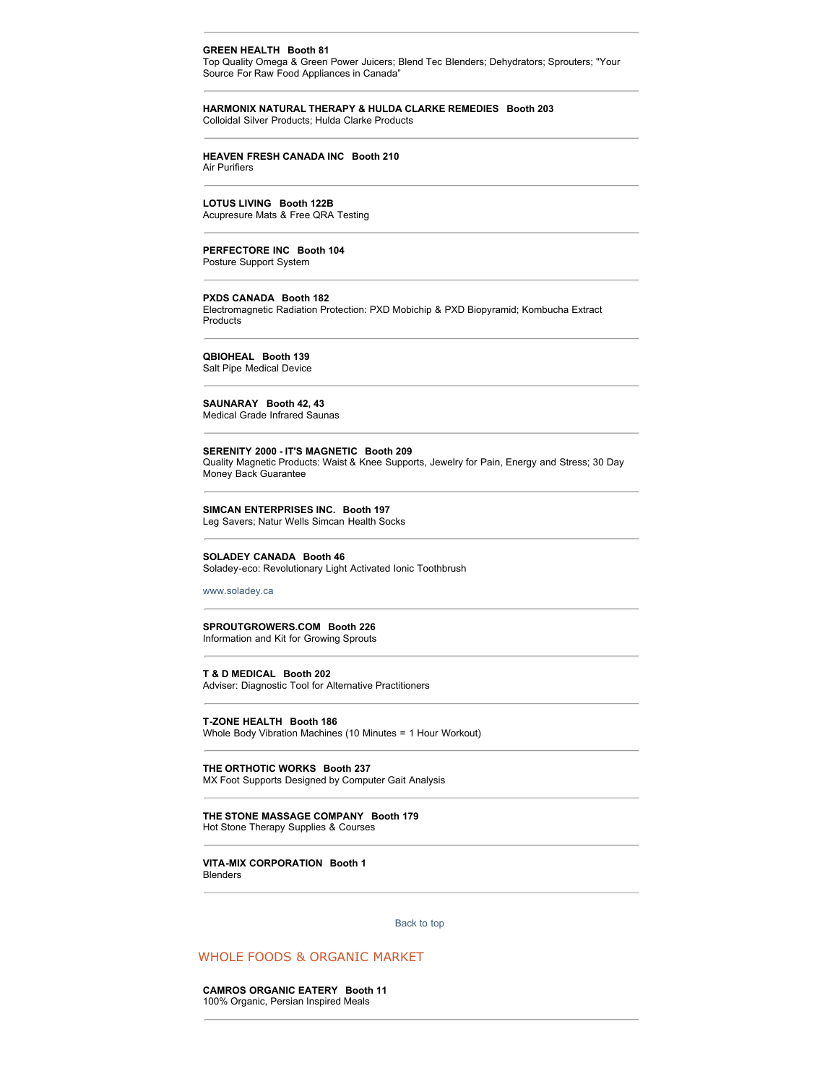### **GREEN HEALTH Booth 81**

Top Quality Omega & Green Power Juicers; Blend Tec Blenders; Dehydrators; Sprouters; "Your Source For Raw Food Appliances in Canada"

### **HARMONIX NATURAL THERAPY & HULDA CLARKE REMEDIES Booth 203** Colloidal Silver Products; Hulda Clarke Products

### **HEAVEN FRESH CANADA INC Booth 210** Air Purifiers

**LOTUS LIVING Booth 122B**

Acupresure Mats & Free QRA Testing

# **PERFECTORE INC Booth 104**

Posture Support System

### **PXDS CANADA Booth 182**

Electromagnetic Radiation Protection: PXD Mobichip & PXD Biopyramid; Kombucha Extract Products

**QBIOHEAL Booth 139**

Salt Pipe Medical Device

# **SAUNARAY Booth 42, 43**

Medical Grade Infrared Saunas

### **SERENITY 2000 - IT'S MAGNETIC Booth 209**

Quality Magnetic Products: Waist & Knee Supports, Jewelry for Pain, Energy and Stress; 30 Day Money Back Guarantee

### **SIMCAN ENTERPRISES INC. Booth 197**

Leg Savers; Natur Wells Simcan Health Socks

### **SOLADEY CANADA Booth 46**

Soladey-eco: Revolutionary Light Activated Ionic Toothbrush

[www.soladey.ca](http://www.soladey.ca/)

# **SPROUTGROWERS.COM Booth 226**

Information and Kit for Growing Sprouts

# **T & D MEDICAL Booth 202**

Adviser: Diagnostic Tool for Alternative Practitioners

**T-ZONE HEALTH Booth 186** Whole Body Vibration Machines (10 Minutes = 1 Hour Workout)

**THE ORTHOTIC WORKS Booth 237** MX Foot Supports Designed by Computer Gait Analysis

**THE STONE MASSAGE COMPANY Booth 179** Hot Stone Therapy Supplies & Courses

**VITA-MIX CORPORATION Booth 1** Blenders

[Back to top](http://www.wholelifecanada.com/exhibitors.php#top) 

# WHOLE FOODS & ORGANIC MARKET

**CAMROS ORGANIC EATERY Booth 11** 100% Organic, Persian Inspired Meals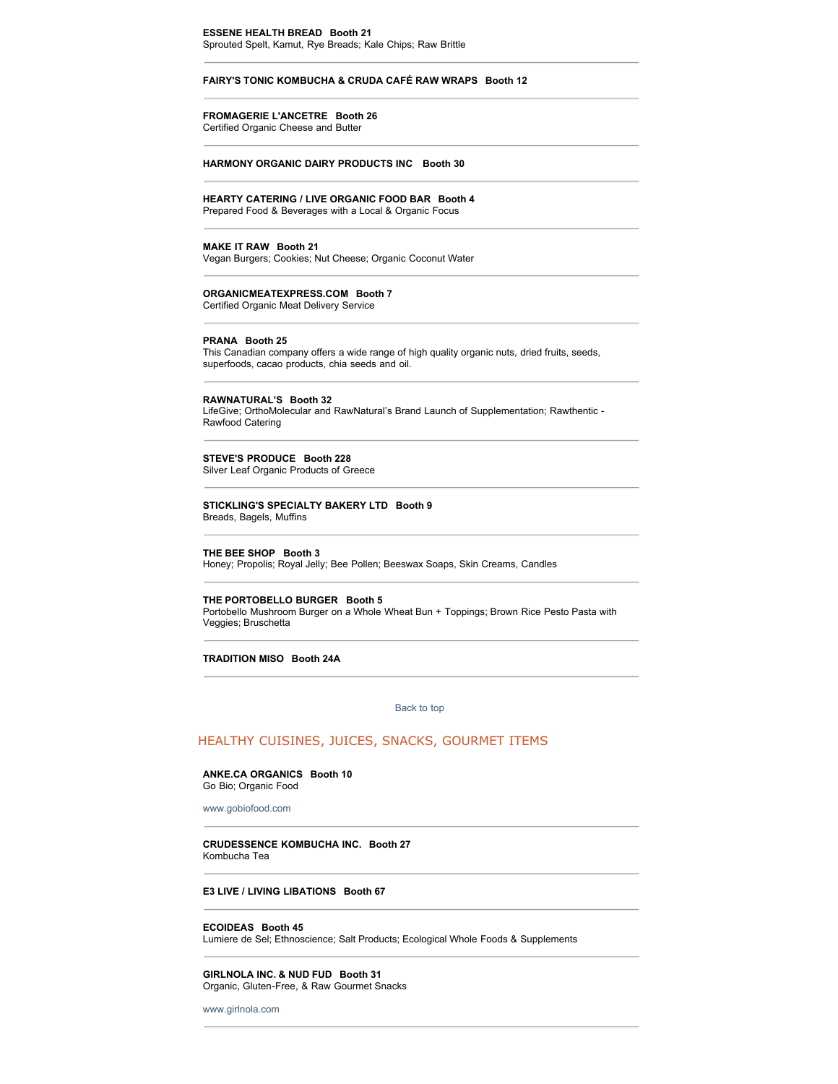# **ESSENE HEALTH BREAD Booth 21**

Sprouted Spelt, Kamut, Rye Breads; Kale Chips; Raw Brittle

### **FAIRY'S TONIC KOMBUCHA & CRUDA CAFÉ RAW WRAPS Booth 12**

# **FROMAGERIE L'ANCETRE Booth 26**

Certified Organic Cheese and Butter

### **HARMONY ORGANIC DAIRY PRODUCTS INC Booth 30**

**HEARTY CATERING / LIVE ORGANIC FOOD BAR Booth 4** Prepared Food & Beverages with a Local & Organic Focus

### **MAKE IT RAW Booth 21**

Vegan Burgers; Cookies; Nut Cheese; Organic Coconut Water

# **ORGANICMEATEXPRESS.COM Booth 7**

Certified Organic Meat Delivery Service

#### **PRANA Booth 25**

This Canadian company offers a wide range of high quality organic nuts, dried fruits, seeds, superfoods, cacao products, chia seeds and oil.

### **RAWNATURAL'S Booth 32**

LifeGive; OrthoMolecular and RawNatural's Brand Launch of Supplementation; Rawthentic - Rawfood Catering

### **STEVE'S PRODUCE Booth 228** Silver Leaf Organic Products of Greece

### **STICKLING'S SPECIALTY BAKERY LTD Booth 9** Breads, Bagels, Muffins

**THE BEE SHOP Booth 3** Honey; Propolis; Royal Jelly; Bee Pollen; Beeswax Soaps, Skin Creams, Candles

### **THE PORTOBELLO BURGER Booth 5**

Portobello Mushroom Burger on a Whole Wheat Bun + Toppings; Brown Rice Pesto Pasta with Veggies; Bruschetta

### **TRADITION MISO Booth 24A**

### [Back to top](http://www.wholelifecanada.com/exhibitors.php#top)

# HEALTHY CUISINES, JUICES, SNACKS, GOURMET ITEMS

### **ANKE.CA ORGANICS Booth 10** Go Bio; Organic Food

[www.gobiofood.com](http://www.gobiofood.com/)

### **CRUDESSENCE KOMBUCHA INC. Booth 27** Kombucha Tea

#### **E3 LIVE / LIVING LIBATIONS Booth 67**

### **ECOIDEAS Booth 45**

Lumiere de Sel; Ethnoscience; Salt Products; Ecological Whole Foods & Supplements

### **GIRLNOLA INC. & NUD FUD Booth 31** Organic, Gluten-Free, & Raw Gourmet Snacks

[www.girlnola.com](http://www.girlnola.com/)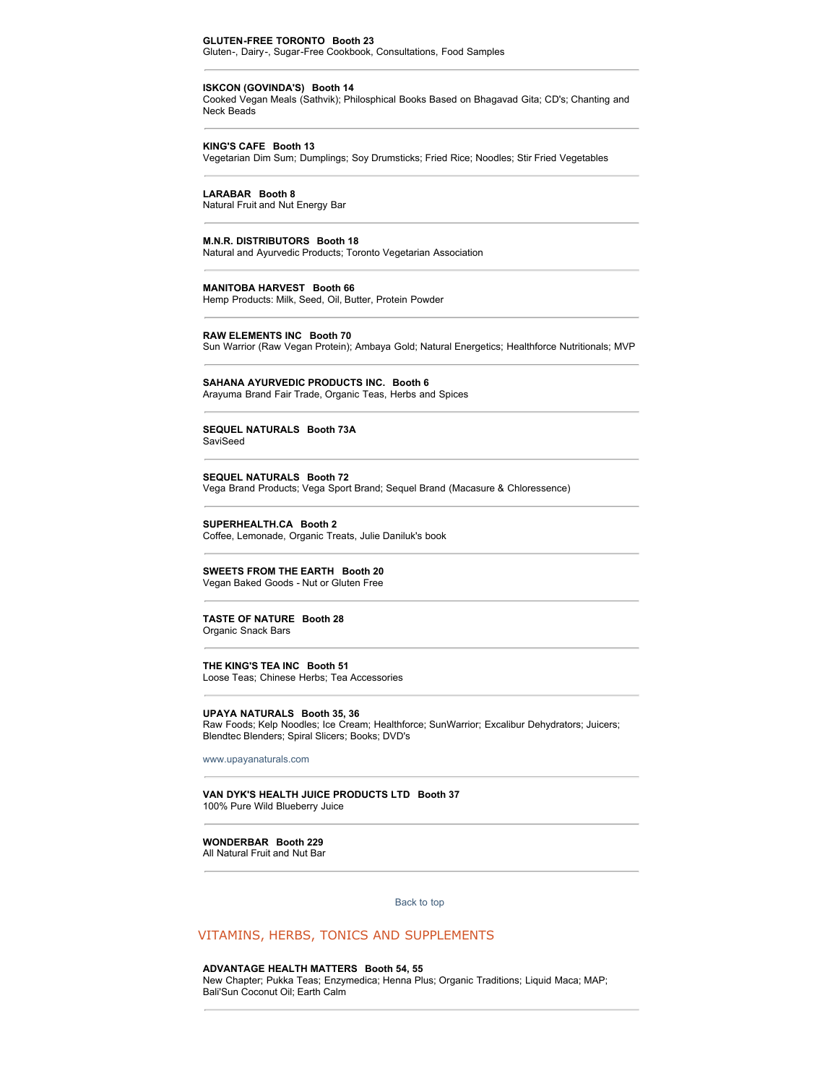### **GLUTEN-FREE TORONTO Booth 23**

Gluten-, Dairy-, Sugar-Free Cookbook, Consultations, Food Samples

#### **ISKCON (GOVINDA'S) Booth 14**

Cooked Vegan Meals (Sathvik); Philosphical Books Based on Bhagavad Gita; CD's; Chanting and Neck Beads

### **KING'S CAFE Booth 13**

Vegetarian Dim Sum; Dumplings; Soy Drumsticks; Fried Rice; Noodles; Stir Fried Vegetables

### **LARABAR Booth 8**

Natural Fruit and Nut Energy Bar

## **M.N.R. DISTRIBUTORS Booth 18**

Natural and Ayurvedic Products; Toronto Vegetarian Association

### **MANITOBA HARVEST Booth 66**

Hemp Products: Milk, Seed, Oil, Butter, Protein Powder

#### **RAW ELEMENTS INC Booth 70**

Sun Warrior (Raw Vegan Protein); Ambaya Gold; Natural Energetics; Healthforce Nutritionals; MVP

### **SAHANA AYURVEDIC PRODUCTS INC. Booth 6**

Arayuma Brand Fair Trade, Organic Teas, Herbs and Spices

### **SEQUEL NATURALS Booth 73A SaviSeed**

**SEQUEL NATURALS Booth 72** Vega Brand Products; Vega Sport Brand; Sequel Brand (Macasure & Chloressence)

**SUPERHEALTH.CA Booth 2** Coffee, Lemonade, Organic Treats, Julie Daniluk's book

### **SWEETS FROM THE EARTH Booth 20** Vegan Baked Goods - Nut or Gluten Free

### **TASTE OF NATURE Booth 28** Organic Snack Bars

# **THE KING'S TEA INC Booth 51**

Loose Teas; Chinese Herbs; Tea Accessories

### **UPAYA NATURALS Booth 35, 36**

Raw Foods; Kelp Noodles; Ice Cream; Healthforce; SunWarrior; Excalibur Dehydrators; Juicers; Blendtec Blenders; Spiral Slicers; Books; DVD's

[www.upayanaturals.com](http://www.upayanaturals.com/)

### **VAN DYK'S HEALTH JUICE PRODUCTS LTD Booth 37** 100% Pure Wild Blueberry Juice

# **WONDERBAR Booth 229**

All Natural Fruit and Nut Bar

[Back to top](http://www.wholelifecanada.com/exhibitors.php#top) 

## VITAMINS, HERBS, TONICS AND SUPPLEMENTS

### **ADVANTAGE HEALTH MATTERS Booth 54, 55**

New Chapter; Pukka Teas; Enzymedica; Henna Plus; Organic Traditions; Liquid Maca; MAP; Bali'Sun Coconut Oil; Earth Calm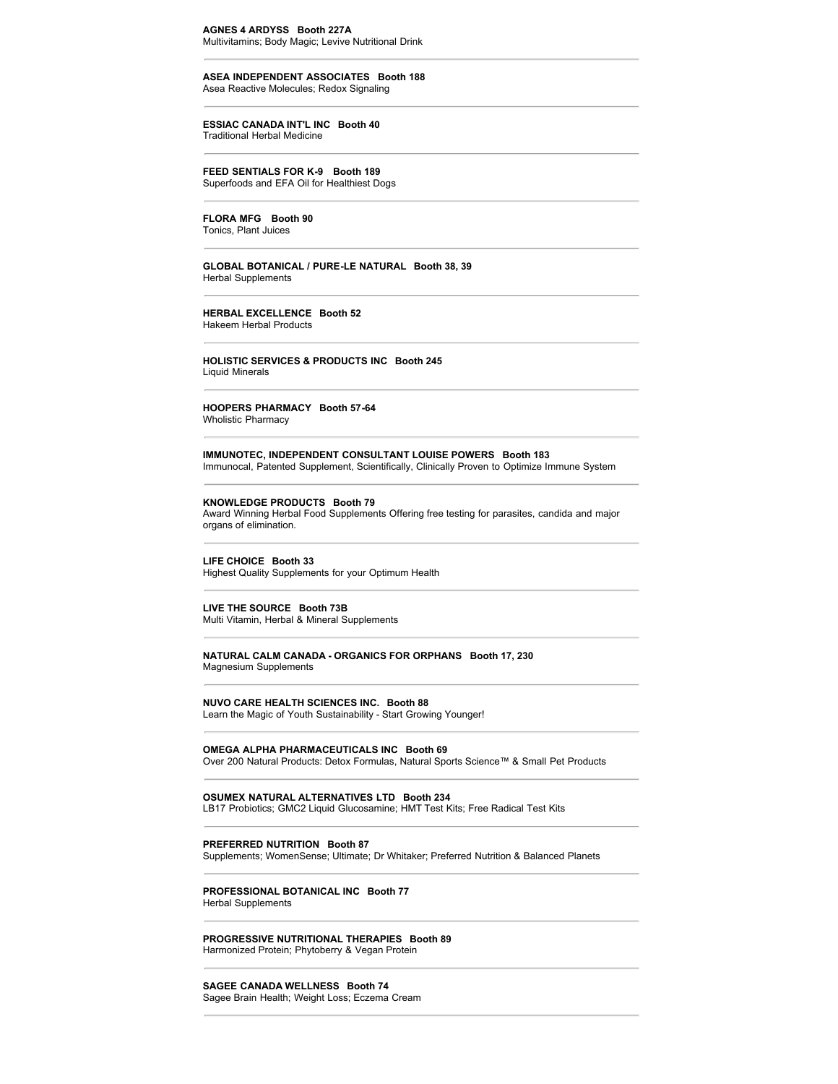# **AGNES 4 ARDYSS Booth 227A**

Multivitamins; Body Magic; Levive Nutritional Drink

# **ASEA INDEPENDENT ASSOCIATES Booth 188**

Asea Reactive Molecules; Redox Signaling

### **ESSIAC CANADA INT'L INC Booth 40** Traditional Herbal Medicine

**FEED SENTIALS FOR K-9 Booth 189** Superfoods and EFA Oil for Healthiest Dogs

**FLORA MFG Booth 90**

Tonics, Plant Juices

### **GLOBAL BOTANICAL / PURE-LE NATURAL Booth 38, 39** Herbal Supplements

**HERBAL EXCELLENCE Booth 52** Hakeem Herbal Products

### **HOLISTIC SERVICES & PRODUCTS INC Booth 245** Liquid Minerals

**HOOPERS PHARMACY Booth 57-64** Wholistic Pharmacy

### **IMMUNOTEC, INDEPENDENT CONSULTANT LOUISE POWERS Booth 183** Immunocal, Patented Supplement, Scientifically, Clinically Proven to Optimize Immune System

### **KNOWLEDGE PRODUCTS Booth 79**

Award Winning Herbal Food Supplements Offering free testing for parasites, candida and major organs of elimination.

**LIFE CHOICE Booth 33**

Highest Quality Supplements for your Optimum Health

# **LIVE THE SOURCE Booth 73B**

Multi Vitamin, Herbal & Mineral Supplements

### **NATURAL CALM CANADA - ORGANICS FOR ORPHANS Booth 17, 230** Magnesium Supplements

### **NUVO CARE HEALTH SCIENCES INC. Booth 88** Learn the Magic of Youth Sustainability - Start Growing Younger!

**OMEGA ALPHA PHARMACEUTICALS INC Booth 69**

Over 200 Natural Products: Detox Formulas, Natural Sports Science™ & Small Pet Products

# **OSUMEX NATURAL ALTERNATIVES LTD Booth 234**

LB17 Probiotics; GMC2 Liquid Glucosamine; HMT Test Kits; Free Radical Test Kits

### **PREFERRED NUTRITION Booth 87**

Supplements; WomenSense; Ultimate; Dr Whitaker; Preferred Nutrition & Balanced Planets

### **PROFESSIONAL BOTANICAL INC Booth 77** Herbal Supplements

**PROGRESSIVE NUTRITIONAL THERAPIES Booth 89** Harmonized Protein; Phytoberry & Vegan Protein

# **SAGEE CANADA WELLNESS Booth 74**

Sagee Brain Health; Weight Loss; Eczema Cream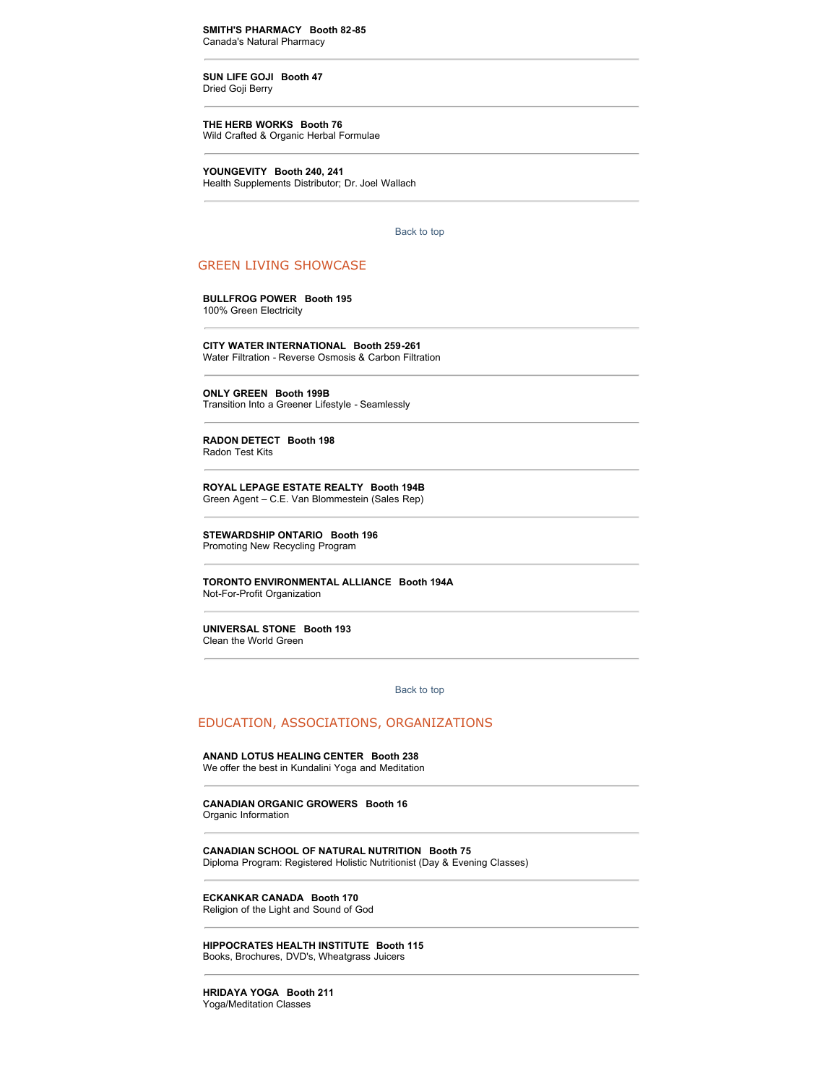**SMITH'S PHARMACY Booth 82-85** Canada's Natural Pharmacy

**SUN LIFE GOJI Booth 47** Dried Goji Berry

**THE HERB WORKS Booth 76** Wild Crafted & Organic Herbal Formulae

**YOUNGEVITY Booth 240, 241** Health Supplements Distributor; Dr. Joel Wallach

[Back to top](http://www.wholelifecanada.com/exhibitors.php#top) 

# GREEN LIVING SHOWCASE

**BULLFROG POWER Booth 195** 100% Green Electricity

**CITY WATER INTERNATIONAL Booth 259-261**

Water Filtration - Reverse Osmosis & Carbon Filtration

**ONLY GREEN Booth 199B** Transition Into a Greener Lifestyle - Seamlessly

**RADON DETECT Booth 198** Radon Test Kits

**ROYAL LEPAGE ESTATE REALTY Booth 194B**

Green Agent – C.E. Van Blommestein (Sales Rep)

**STEWARDSHIP ONTARIO Booth 196** Promoting New Recycling Program

**TORONTO ENVIRONMENTAL ALLIANCE Booth 194A** Not-For-Profit Organization

**UNIVERSAL STONE Booth 193** Clean the World Green

[Back to top](http://www.wholelifecanada.com/exhibitors.php#top) 

# EDUCATION, ASSOCIATIONS, ORGANIZATIONS

### **ANAND LOTUS HEALING CENTER Booth 238**

We offer the best in Kundalini Yoga and Meditation

**CANADIAN ORGANIC GROWERS Booth 16**

Organic Information

**CANADIAN SCHOOL OF NATURAL NUTRITION Booth 75** Diploma Program: Registered Holistic Nutritionist (Day & Evening Classes)

**ECKANKAR CANADA Booth 170**

Religion of the Light and Sound of God

**HIPPOCRATES HEALTH INSTITUTE Booth 115** Books, Brochures, DVD's, Wheatgrass Juicers

**HRIDAYA YOGA Booth 211** Yoga/Meditation Classes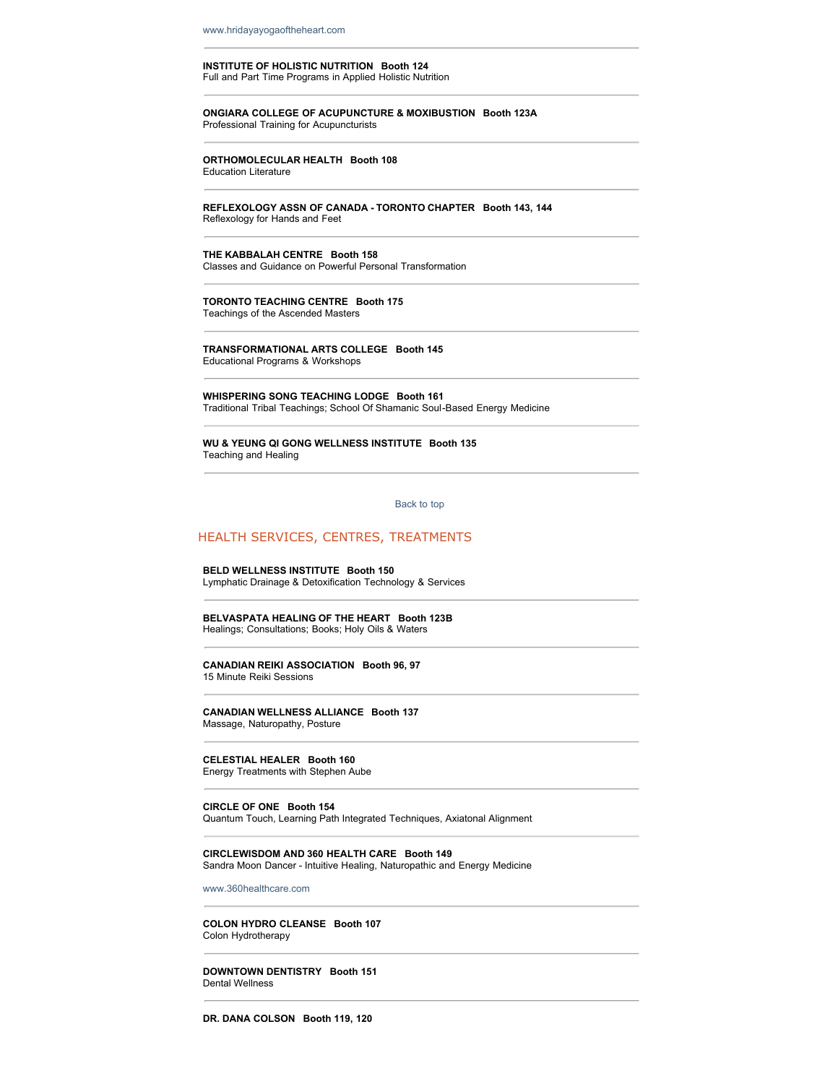[www.hridayayogaoftheheart.com](http://www.hridayayogaoftheheart.com/)

# **INSTITUTE OF HOLISTIC NUTRITION Booth 124**

Full and Part Time Programs in Applied Holistic Nutrition

# **ONGIARA COLLEGE OF ACUPUNCTURE & MOXIBUSTION Booth 123A**

Professional Training for Acupuncturists

### **ORTHOMOLECULAR HEALTH Booth 108** Education Literature

**REFLEXOLOGY ASSN OF CANADA - TORONTO CHAPTER Booth 143, 144** Reflexology for Hands and Feet

### **THE KABBALAH CENTRE Booth 158** Classes and Guidance on Powerful Personal Transformation

**TORONTO TEACHING CENTRE Booth 175** Teachings of the Ascended Masters

**TRANSFORMATIONAL ARTS COLLEGE Booth 145** Educational Programs & Workshops

**WHISPERING SONG TEACHING LODGE Booth 161** Traditional Tribal Teachings; School Of Shamanic Soul-Based Energy Medicine

**WU & YEUNG QI GONG WELLNESS INSTITUTE Booth 135** Teaching and Healing

[Back to top](http://www.wholelifecanada.com/exhibitors.php#top) 

# HEALTH SERVICES, CENTRES, TREATMENTS

# **BELD WELLNESS INSTITUTE Booth 150**

Lymphatic Drainage & Detoxification Technology & Services

**BELVASPATA HEALING OF THE HEART Booth 123B** Healings; Consultations; Books; Holy Oils & Waters

**CANADIAN REIKI ASSOCIATION Booth 96, 97** 15 Minute Reiki Sessions

**CANADIAN WELLNESS ALLIANCE Booth 137** Massage, Naturopathy, Posture

**CELESTIAL HEALER Booth 160**

Energy Treatments with Stephen Aube

### **CIRCLE OF ONE Booth 154**

Quantum Touch, Learning Path Integrated Techniques, Axiatonal Alignment

### **CIRCLEWISDOM AND 360 HEALTH CARE Booth 149**

Sandra Moon Dancer - Intuitive Healing, Naturopathic and Energy Medicine

[www.360healthcare.com](http://www.360healthcare.com/)

### **COLON HYDRO CLEANSE Booth 107** Colon Hydrotherapy

**DOWNTOWN DENTISTRY Booth 151** Dental Wellness

**DR. DANA COLSON Booth 119, 120**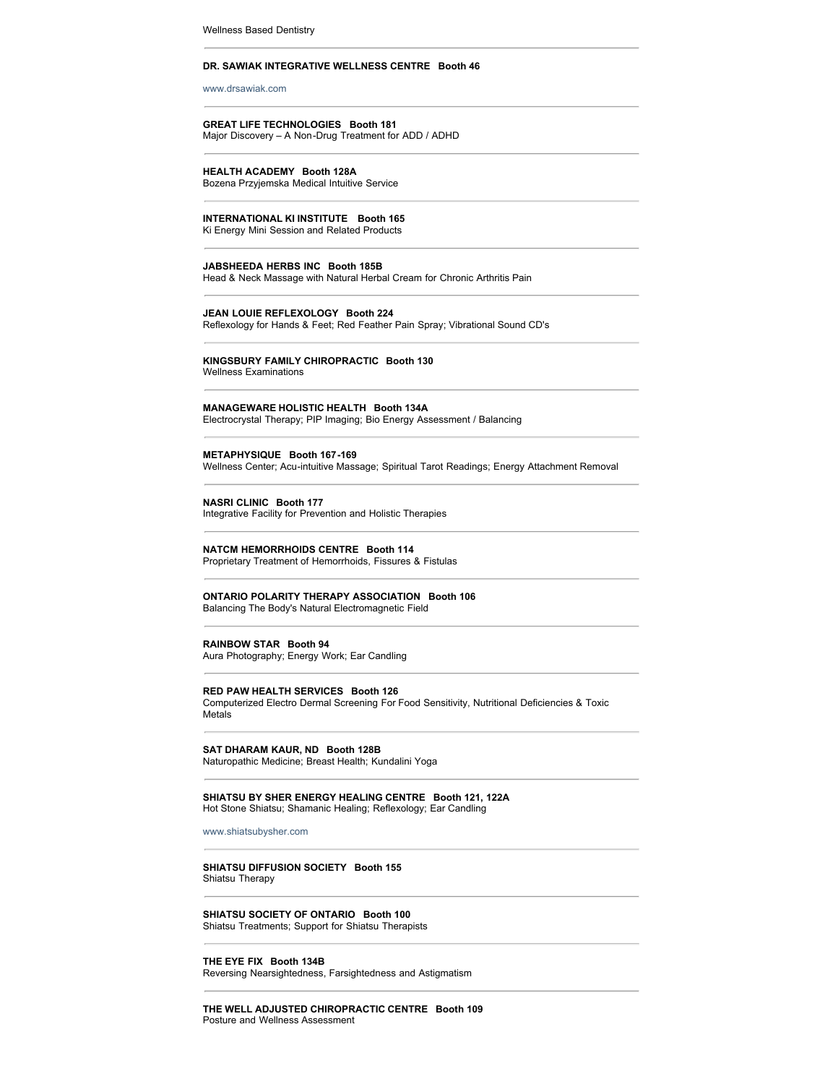Wellness Based Dentistry

### **DR. SAWIAK INTEGRATIVE WELLNESS CENTRE Booth 46**

[www.drsawiak.com](http://www.drsawiak.com/)

### **GREAT LIFE TECHNOLOGIES Booth 181** Major Discovery – A Non-Drug Treatment for ADD / ADHD

# **HEALTH ACADEMY Booth 128A**

Bozena Przyjemska Medical Intuitive Service

### **INTERNATIONAL KI INSTITUTE Booth 165**

Ki Energy Mini Session and Related Products

### **JABSHEEDA HERBS INC Booth 185B**

Head & Neck Massage with Natural Herbal Cream for Chronic Arthritis Pain

### **JEAN LOUIE REFLEXOLOGY Booth 224**

Reflexology for Hands & Feet; Red Feather Pain Spray; Vibrational Sound CD's

### **KINGSBURY FAMILY CHIROPRACTIC Booth 130** Wellness Examinations

# **MANAGEWARE HOLISTIC HEALTH Booth 134A**

Electrocrystal Therapy; PIP Imaging; Bio Energy Assessment / Balancing

### **METAPHYSIQUE Booth 167-169** Wellness Center; Acu-intuitive Massage; Spiritual Tarot Readings; Energy Attachment Removal

**NASRI CLINIC Booth 177** Integrative Facility for Prevention and Holistic Therapies

# **NATCM HEMORRHOIDS CENTRE Booth 114**

Proprietary Treatment of Hemorrhoids, Fissures & Fistulas

### **ONTARIO POLARITY THERAPY ASSOCIATION Booth 106** Balancing The Body's Natural Electromagnetic Field

### **RAINBOW STAR Booth 94**

Aura Photography; Energy Work; Ear Candling

### **RED PAW HEALTH SERVICES Booth 126**

Computerized Electro Dermal Screening For Food Sensitivity, Nutritional Deficiencies & Toxic Metals

**SAT DHARAM KAUR, ND Booth 128B** Naturopathic Medicine; Breast Health; Kundalini Yoga

### **SHIATSU BY SHER ENERGY HEALING CENTRE Booth 121, 122A** Hot Stone Shiatsu; Shamanic Healing; Reflexology; Ear Candling

[www.shiatsubysher.com](http://www.shiatsubysher.com/)

### **SHIATSU DIFFUSION SOCIETY Booth 155** Shiatsu Therapy

**SHIATSU SOCIETY OF ONTARIO Booth 100** Shiatsu Treatments; Support for Shiatsu Therapists

**THE EYE FIX Booth 134B** Reversing Nearsightedness, Farsightedness and Astigmatism

### **THE WELL ADJUSTED CHIROPRACTIC CENTRE Booth 109** Posture and Wellness Assessment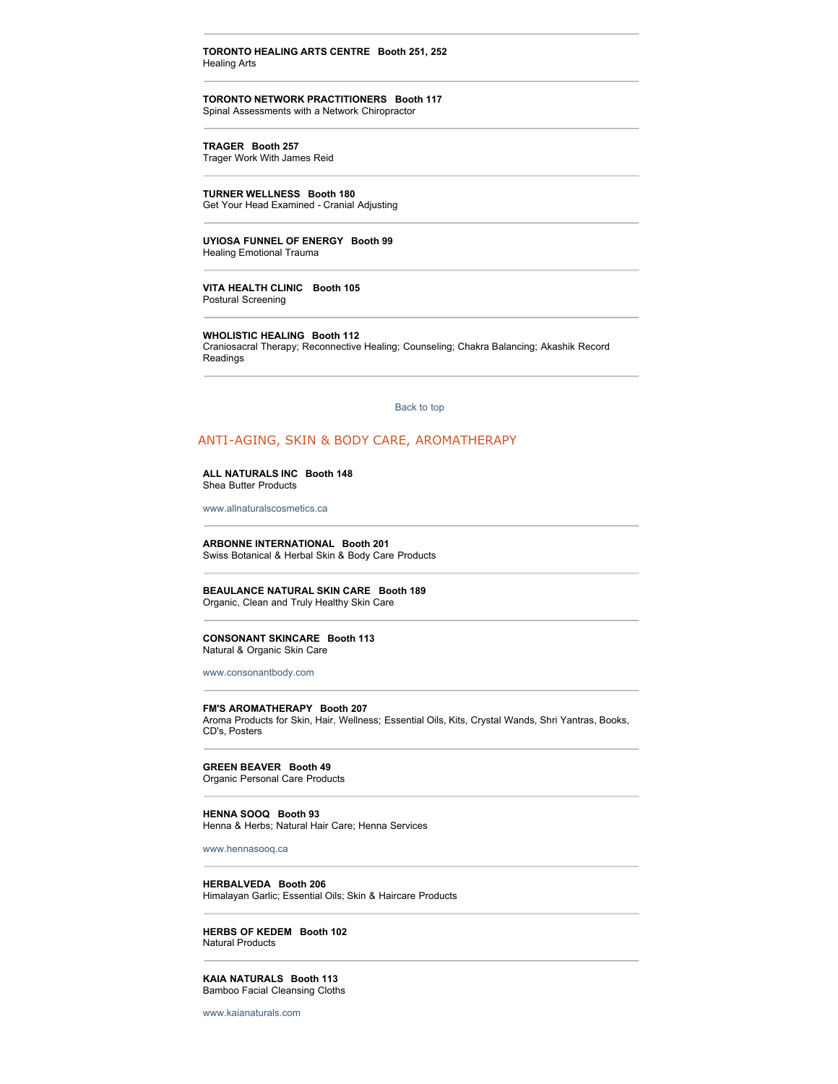### **TORONTO HEALING ARTS CENTRE Booth 251, 252** Healing Arts

**TORONTO NETWORK PRACTITIONERS Booth 117** Spinal Assessments with a Network Chiropractor

**TRAGER Booth 257** Trager Work With James Reid

**TURNER WELLNESS Booth 180** Get Your Head Examined - Cranial Adjusting

**UYIOSA FUNNEL OF ENERGY Booth 99** Healing Emotional Trauma

**VITA HEALTH CLINIC Booth 105** Postural Screening

**WHOLISTIC HEALING Booth 112**

Craniosacral Therapy; Reconnective Healing; Counseling; Chakra Balancing; Akashik Record Readings

[Back to top](http://www.wholelifecanada.com/exhibitors.php#top) 

### ANTI-AGING, SKIN & BODY CARE, AROMATHERAPY

# **ALL NATURALS INC Booth 148**

Shea Butter Products

[www.allnaturalscosmetics.ca](http://www.allnaturalscosmetics.ca/)

**ARBONNE INTERNATIONAL Booth 201** Swiss Botanical & Herbal Skin & Body Care Products

**BEAULANCE NATURAL SKIN CARE Booth 189** Organic, Clean and Truly Healthy Skin Care

**CONSONANT SKINCARE Booth 113** Natural & Organic Skin Care

[www.consonantbody.com](http://www.consonantbody.com/)

**FM'S AROMATHERAPY Booth 207**

Aroma Products for Skin, Hair, Wellness; Essential Oils, Kits, Crystal Wands, Shri Yantras, Books, CD's, Posters

# **GREEN BEAVER Booth 49**

Organic Personal Care Products

**HENNA SOOQ Booth 93** Henna & Herbs; Natural Hair Care; Henna Services

[www.hennasooq.ca](http://www.hennasooq.ca/)

**HERBALVEDA Booth 206** Himalayan Garlic; Essential Oils; Skin & Haircare Products

**HERBS OF KEDEM Booth 102** Natural Products

**KAIA NATURALS Booth 113** Bamboo Facial Cleansing Cloths

[www.kaianaturals.com](http://www.kaianaturals.com/)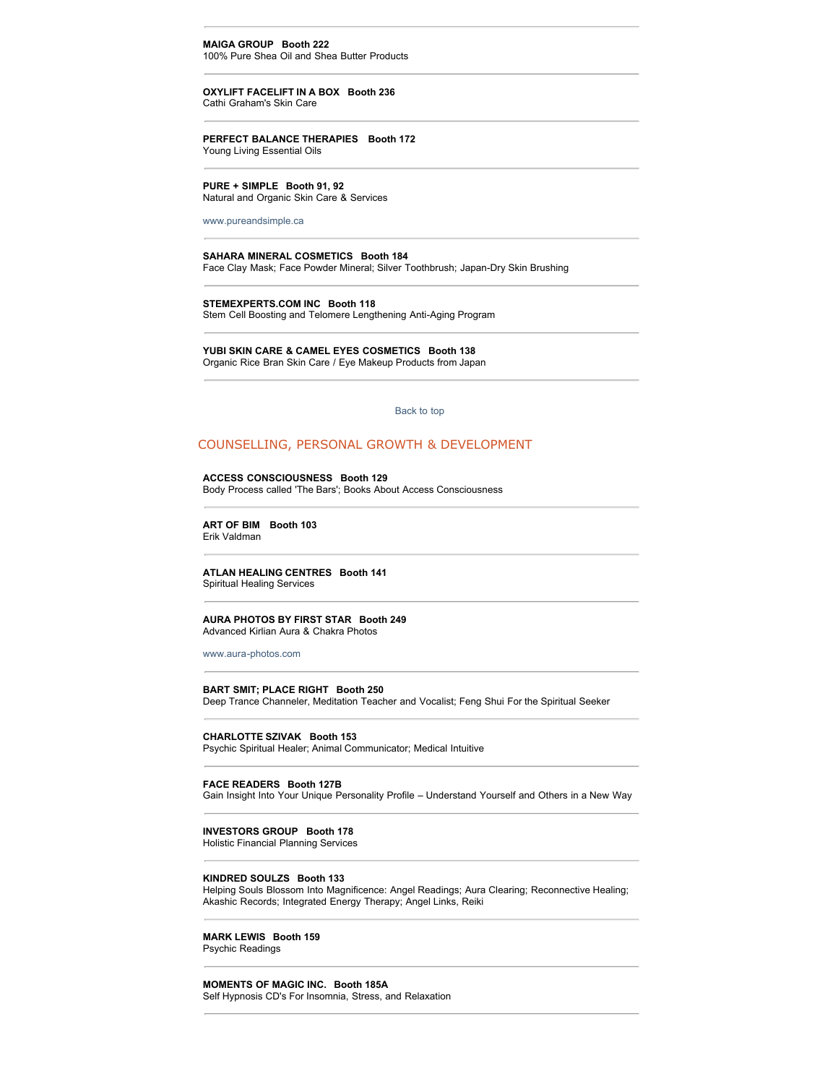**MAIGA GROUP Booth 222** 100% Pure Shea Oil and Shea Butter Products

**OXYLIFT FACELIFT IN A BOX Booth 236** Cathi Graham's Skin Care

**PERFECT BALANCE THERAPIES Booth 172** Young Living Essential Oils

**PURE + SIMPLE Booth 91, 92** Natural and Organic Skin Care & Services

[www.pureandsimple.ca](http://www.pureandsimple.ca/)

**SAHARA MINERAL COSMETICS Booth 184** Face Clay Mask; Face Powder Mineral; Silver Toothbrush; Japan-Dry Skin Brushing

**STEMEXPERTS.COM INC Booth 118** Stem Cell Boosting and Telomere Lengthening Anti-Aging Program

**YUBI SKIN CARE & CAMEL EYES COSMETICS Booth 138** Organic Rice Bran Skin Care / Eye Makeup Products from Japan

[Back to top](http://www.wholelifecanada.com/exhibitors.php#top) 

# COUNSELLING, PERSONAL GROWTH & DEVELOPMENT

**ACCESS CONSCIOUSNESS Booth 129**

Body Process called 'The Bars'; Books About Access Consciousness

**ART OF BIM Booth 103** Erik Valdman

**ATLAN HEALING CENTRES Booth 141** Spiritual Healing Services

### **AURA PHOTOS BY FIRST STAR Booth 249** Advanced Kirlian Aura & Chakra Photos

[www.aura-photos.com](http://www.aura-photos.com/)

**BART SMIT; PLACE RIGHT Booth 250** Deep Trance Channeler, Meditation Teacher and Vocalist; Feng Shui For the Spiritual Seeker

**CHARLOTTE SZIVAK Booth 153**

Psychic Spiritual Healer; Animal Communicator; Medical Intuitive

### **FACE READERS Booth 127B**

Gain Insight Into Your Unique Personality Profile – Understand Yourself and Others in a New Way

### **INVESTORS GROUP Booth 178**

Holistic Financial Planning Services

### **KINDRED SOULZS Booth 133**

Helping Souls Blossom Into Magnificence: Angel Readings; Aura Clearing; Reconnective Healing; Akashic Records; Integrated Energy Therapy; Angel Links, Reiki

**MARK LEWIS Booth 159**

Psychic Readings

**MOMENTS OF MAGIC INC. Booth 185A** Self Hypnosis CD's For Insomnia, Stress, and Relaxation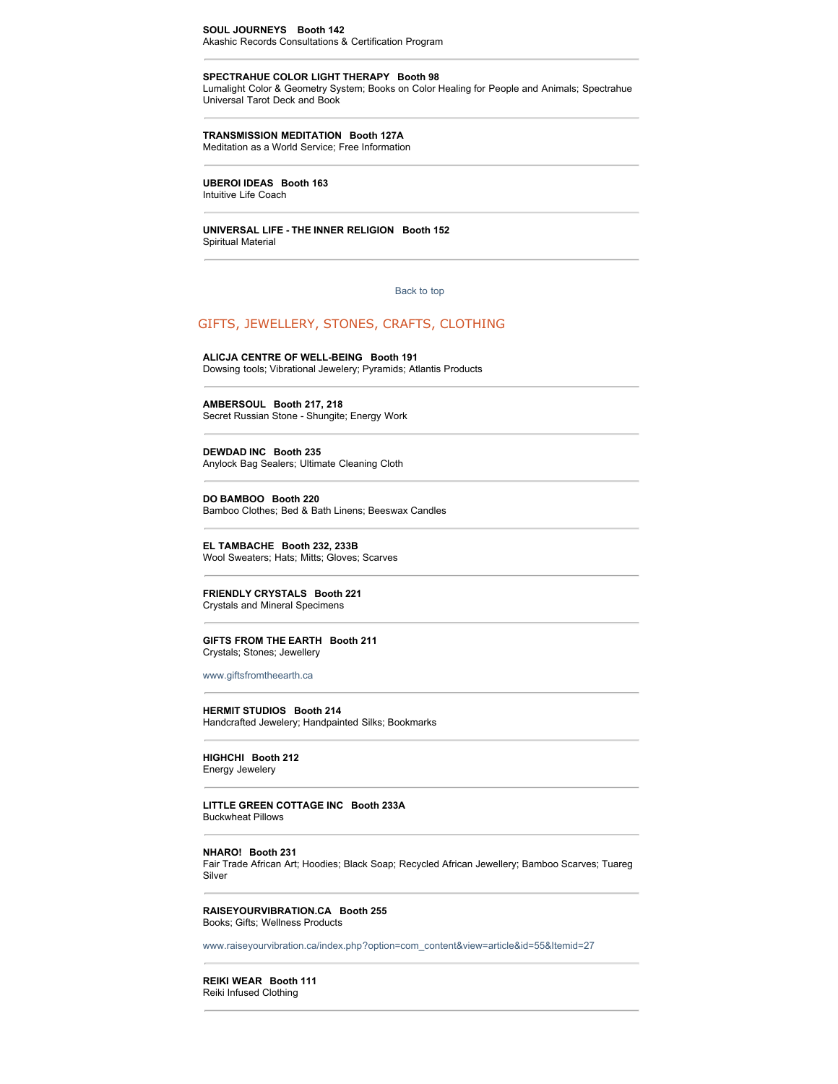**SPECTRAHUE COLOR LIGHT THERAPY Booth 98** Lumalight Color & Geometry System; Books on Color Healing for People and Animals; Spectrahue Universal Tarot Deck and Book

# **TRANSMISSION MEDITATION Booth 127A**

Meditation as a World Service; Free Information

### **UBEROI IDEAS Booth 163**

Intuitive Life Coach

### **UNIVERSAL LIFE - THE INNER RELIGION Booth 152** Spiritual Material

### [Back to top](http://www.wholelifecanada.com/exhibitors.php#top)

# GIFTS, JEWELLERY, STONES, CRAFTS, CLOTHING

### **ALICJA CENTRE OF WELL-BEING Booth 191** Dowsing tools; Vibrational Jewelery; Pyramids; Atlantis Products

**AMBERSOUL Booth 217, 218** Secret Russian Stone - Shungite; Energy Work

**DEWDAD INC Booth 235** Anylock Bag Sealers; Ultimate Cleaning Cloth

**DO BAMBOO Booth 220** Bamboo Clothes; Bed & Bath Linens; Beeswax Candles

**EL TAMBACHE Booth 232, 233B** Wool Sweaters; Hats; Mitts; Gloves; Scarves

### **FRIENDLY CRYSTALS Booth 221** Crystals and Mineral Specimens

### **GIFTS FROM THE EARTH Booth 211** Crystals; Stones; Jewellery

[www.giftsfromtheearth.ca](http://www.giftsfromtheearth.ca/)

**HERMIT STUDIOS Booth 214** Handcrafted Jewelery; Handpainted Silks; Bookmarks

**HIGHCHI Booth 212** Energy Jewelery

**LITTLE GREEN COTTAGE INC Booth 233A** Buckwheat Pillows

### **NHARO! Booth 231**

Fair Trade African Art; Hoodies; Black Soap; Recycled African Jewellery; Bamboo Scarves; Tuareg Silver

### **RAISEYOURVIBRATION.CA Booth 255** Books; Gifts; Wellness Products

[www.raiseyourvibration.ca/index.php?option=com\\_content&view=article&id=55&Itemid=27](http://www.raiseyourvibration.ca/index.php?option=com_content&view=article&id=55&Itemid=27)

# **REIKI WEAR Booth 111**

Reiki Infused Clothing